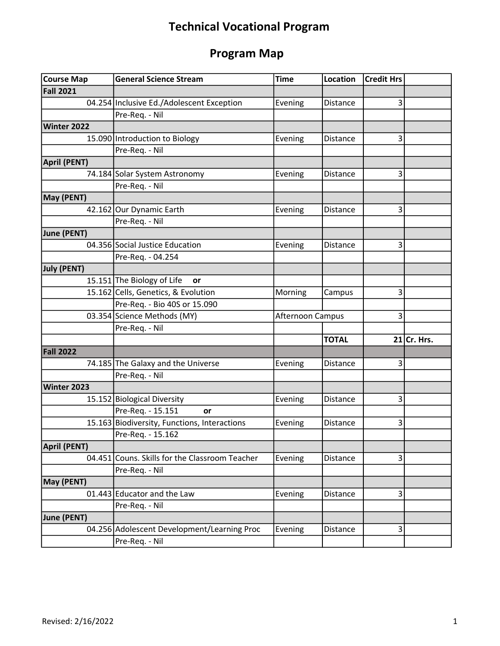## Technical Vocational Program

## Program Map

| <b>Course Map</b>  | <b>General Science Stream</b>                  | <b>Time</b>      | <b>Location</b> | <b>Credit Hrs</b> |               |
|--------------------|------------------------------------------------|------------------|-----------------|-------------------|---------------|
| <b>Fall 2021</b>   |                                                |                  |                 |                   |               |
|                    | 04.254 Inclusive Ed./Adolescent Exception      | Evening          | Distance        | 3                 |               |
|                    | Pre-Req. - Nil                                 |                  |                 |                   |               |
| Winter 2022        |                                                |                  |                 |                   |               |
|                    | 15.090 Introduction to Biology                 | Evening          | Distance        | 3                 |               |
|                    | Pre-Req. - Nil                                 |                  |                 |                   |               |
| April (PENT)       |                                                |                  |                 |                   |               |
|                    | 74.184 Solar System Astronomy                  | Evening          | <b>Distance</b> | 3                 |               |
|                    | Pre-Req. - Nil                                 |                  |                 |                   |               |
| May (PENT)         |                                                |                  |                 |                   |               |
|                    | 42.162 Our Dynamic Earth                       | Evening          | <b>Distance</b> | 3                 |               |
|                    | Pre-Req. - Nil                                 |                  |                 |                   |               |
| June (PENT)        |                                                |                  |                 |                   |               |
|                    | 04.356 Social Justice Education                | Evening          | Distance        | 3                 |               |
|                    | Pre-Req. - 04.254                              |                  |                 |                   |               |
| <b>July (PENT)</b> |                                                |                  |                 |                   |               |
|                    | 15.151 The Biology of Life<br>or               |                  |                 |                   |               |
|                    | 15.162 Cells, Genetics, & Evolution            | Morning          | Campus          | 3                 |               |
|                    | Pre-Req. - Bio 40S or 15.090                   |                  |                 |                   |               |
|                    | 03.354 Science Methods (MY)                    | Afternoon Campus |                 | 3                 |               |
|                    | Pre-Req. - Nil                                 |                  |                 |                   |               |
|                    |                                                |                  | <b>TOTAL</b>    |                   | $21$ Cr. Hrs. |
| <b>Fall 2022</b>   |                                                |                  |                 |                   |               |
|                    | 74.185 The Galaxy and the Universe             | Evening          | <b>Distance</b> | 3                 |               |
|                    | Pre-Req. - Nil                                 |                  |                 |                   |               |
| Winter 2023        |                                                |                  |                 |                   |               |
|                    | 15.152 Biological Diversity                    | Evening          | Distance        | 3                 |               |
|                    | Pre-Req. - 15.151<br>or                        |                  |                 |                   |               |
|                    | 15.163 Biodiversity, Functions, Interactions   | Evening          | Distance        | 3                 |               |
|                    | Pre-Req. - 15.162                              |                  |                 |                   |               |
| April (PENT)       |                                                |                  |                 |                   |               |
|                    | 04.451 Couns. Skills for the Classroom Teacher | Evening          | Distance        | 3                 |               |
|                    | Pre-Req. - Nil                                 |                  |                 |                   |               |
| May (PENT)         |                                                |                  |                 |                   |               |
|                    | 01.443 Educator and the Law                    | Evening          | Distance        | 3                 |               |
|                    | Pre-Req. - Nil                                 |                  |                 |                   |               |
| June (PENT)        |                                                |                  |                 |                   |               |
|                    | 04.256 Adolescent Development/Learning Proc    | Evening          | Distance        | 3                 |               |
|                    | Pre-Req. - Nil                                 |                  |                 |                   |               |